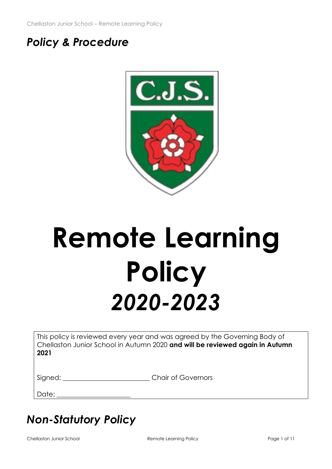# *Policy & Procedure*



# **Remote Learning Policy** *2020-2023*

This policy is reviewed every year and was agreed by the Governing Body of Chellaston Junior School in Autumn 2020 **and will be reviewed again in Autumn 2021**

| Signed: |  |  |  |
|---------|--|--|--|
|         |  |  |  |
|         |  |  |  |
|         |  |  |  |

Chair of Governors

Date:

# *Non-Statutory Policy*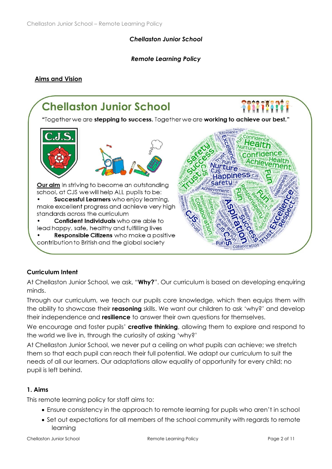#### *Chellaston Junior School*

#### *Remote Learning Policy*

#### **Aims and Vision**



#### **Curriculum Intent**

At Chellaston Junior School, we ask, "**Why?**". Our curriculum is based on developing enquiring minds.

Through our curriculum, we teach our pupils core knowledge, which then equips them with the ability to showcase their **reasoning** skills. We want our children to ask 'why?' and develop their independence and **resilience** to answer their own questions for themselves.

We encourage and foster pupils' **creative thinking**, allowing them to explore and respond to the world we live in, through the curiosity of asking 'why?'

At Chellaston Junior School, we never put a ceiling on what pupils can achieve; we stretch them so that each pupil can reach their full potential. We adapt our curriculum to suit the needs of all our learners. Our adaptations allow equality of opportunity for every child; no pupil is left behind.

#### **1. Aims**

This remote learning policy for staff aims to:

- Ensure consistency in the approach to remote learning for pupils who aren't in school
- Set out expectations for all members of the school community with regards to remote learning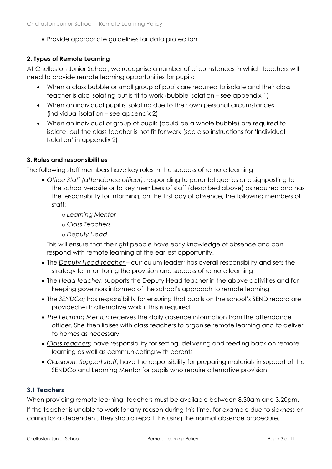• Provide appropriate guidelines for data protection

# **2. Types of Remote Learning**

At Chellaston Junior School, we recognise a number of circumstances in which teachers will need to provide remote learning opportunities for pupils:

- When a class bubble or small group of pupils are required to isolate and their class teacher is also isolating but is fit to work (bubble isolation – see appendix 1)
- When an individual pupil is isolating due to their own personal circumstances (individual isolation – see appendix 2)
- When an individual or group of pupils (could be a whole bubble) are required to isolate, but the class teacher is not fit for work (see also instructions for 'Individual Isolation' in appendix 2)

# **3. Roles and responsibilities**

The following staff members have key roles in the success of remote learning

- *Office Staff (attendance officer)*: responding to parental queries and signposting to the school website or to key members of staff (described above) as required and has the responsibility for informing, on the first day of absence, the following members of staff:
	- o *Learning Mentor*
	- o *Class Teachers*
	- o *Deputy Head*

This will ensure that the right people have early knowledge of absence and can respond with remote learning at the earliest opportunity.

- The *Deputy Head teacher*  curriculum leader; has overall responsibility and sets the strategy for monitoring the provision and success of remote learning
- The *Head teacher*; supports the Deputy Head teacher in the above activities and for keeping governors informed of the school's approach to remote learning
- The *SENDCo;* has responsibility for ensuring that pupils on the school's SEND record are provided with alternative work if this is required
- *The Learning Mentor;* receives the daily absence information from the attendance officer. She then liaises with class teachers to organise remote learning and to deliver to homes as necessary
- *Class teachers*; have responsibility for setting, delivering and feeding back on remote learning as well as communicating with parents
- *Classroom Support staff*; have the responsibility for preparing materials in support of the SENDCo and Learning Mentor for pupils who require alternative provision

# **3.1 Teachers**

When providing remote learning, teachers must be available between 8.30am and 3.20pm. If the teacher is unable to work for any reason during this time, for example due to sickness or caring for a dependent, they should report this using the normal absence procedure.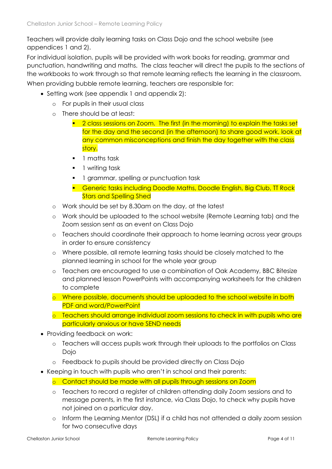Teachers will provide daily learning tasks on Class Dojo and the school website (see appendices 1 and 2).

For individual isolation, pupils will be provided with work books for reading, grammar and punctuation, handwriting and maths. The class teacher will direct the pupils to the sections of the workbooks to work through so that remote learning reflects the learning in the classroom. When providing bubble remote learning, teachers are responsible for:

- Setting work (see appendix 1 and appendix 2):
	- o For pupils in their usual class
	- o There should be at least:
		- 2 class sessions on Zoom. The first (in the morning) to explain the tasks set for the day and the second (in the afternoon) to share good work, look at any common misconceptions and finish the day together with the class story.
		- 1 maths task
		- 1 writing task
		- **•** 1 grammar, spelling or punctuation task
		- **Generic tasks including Doodle Maths, Doodle English, Big Club, TT Rock** Stars and Spelling Shed
	- o Work should be set by 8.30am on the day, at the latest
	- o Work should be uploaded to the school website (Remote Learning tab) and the Zoom session sent as an event on Class Dojo
	- o Teachers should coordinate their approach to home learning across year groups in order to ensure consistency
	- o Where possible, all remote learning tasks should be closely matched to the planned learning in school for the whole year group
	- o Teachers are encouraged to use a combination of Oak Academy, BBC Bitesize and planned lesson PowerPoints with accompanying worksheets for the children to complete
	- o Where possible, documents should be uploaded to the school website in both PDF and word/PowerPoint
	- o Teachers should arrange individual zoom sessions to check in with pupils who are particularly anxious or have SEND needs
- Providing feedback on work:
	- o Teachers will access pupils work through their uploads to the portfolios on Class Dojo
	- o Feedback to pupils should be provided directly on Class Dojo
- Keeping in touch with pupils who aren't in school and their parents:
	- o Contact should be made with all pupils through sessions on Zoom
	- o Teachers to record a register of children attending daily Zoom sessions and to message parents, in the first instance, via Class Dojo, to check why pupils have not joined on a particular day.
	- o Inform the Learning Mentor (DSL) if a child has not attended a daily zoom session for two consecutive days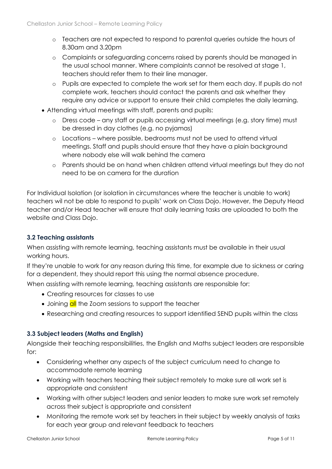- o Teachers are not expected to respond to parental queries outside the hours of 8.30am and 3.20pm
- o Complaints or safeguarding concerns raised by parents should be managed in the usual school manner. Where complaints cannot be resolved at stage 1, teachers should refer them to their line manager.
- o Pupils are expected to complete the work set for them each day. If pupils do not complete work, teachers should contact the parents and ask whether they require any advice or support to ensure their child completes the daily learning.
- Attending virtual meetings with staff, parents and pupils:
	- o Dress code any staff or pupils accessing virtual meetings (e.g. story time) must be dressed in day clothes (e.g. no pyjamas)
	- o Locations where possible, bedrooms must not be used to attend virtual meetings. Staff and pupils should ensure that they have a plain background where nobody else will walk behind the camera
	- o Parents should be on hand when children attend virtual meetings but they do not need to be on camera for the duration

For Individual Isolation (or isolation in circumstances where the teacher is unable to work) teachers wil not be able to respond to pupils' work on Class Dojo. However, the Deputy Head teacher and/or Head teacher will ensure that daily learning tasks are uploaded to both the website and Class Dojo.

#### **3.2 Teaching assistants**

When assisting with remote learning, teaching assistants must be available in their usual working hours.

If they're unable to work for any reason during this time, for example due to sickness or caring for a dependent, they should report this using the normal absence procedure.

When assisting with remote learning, teaching assistants are responsible for:

- Creating resources for classes to use
- Joining all the Zoom sessions to support the teacher
- Researching and creating resources to support identified SEND pupils within the class

#### **3.3 Subject leaders (Maths and English)**

Alongside their teaching responsibilities, the English and Maths subject leaders are responsible for:

- Considering whether any aspects of the subject curriculum need to change to accommodate remote learning
- Working with teachers teaching their subject remotely to make sure all work set is appropriate and consistent
- Working with other subject leaders and senior leaders to make sure work set remotely across their subject is appropriate and consistent
- Monitoring the remote work set by teachers in their subject by weekly analysis of tasks for each year group and relevant feedback to teachers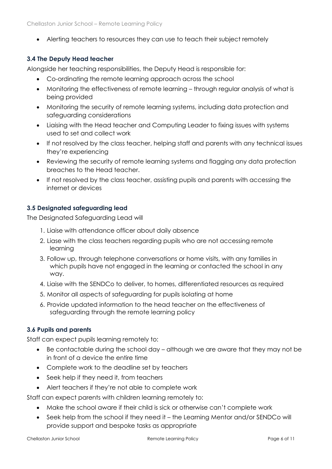• Alerting teachers to resources they can use to teach their subject remotely

# **3.4 The Deputy Head teacher**

Alongside her teaching responsibilities, the Deputy Head is responsible for:

- Co-ordinating the remote learning approach across the school
- Monitoring the effectiveness of remote learning through regular analysis of what is being provided
- Monitoring the security of remote learning systems, including data protection and safeguarding considerations
- Liaising with the Head teacher and Computing Leader to fixing issues with systems used to set and collect work
- If not resolved by the class teacher, helping staff and parents with any technical issues they're experiencing
- Reviewing the security of remote learning systems and flagging any data protection breaches to the Head teacher.
- If not resolved by the class teacher, assisting pupils and parents with accessing the internet or devices

# **3.5 Designated safeguarding lead**

The Designated Safeguarding Lead will

- 1. Liaise with attendance officer about daily absence
- 2. Liase with the class teachers regarding pupils who are not accessing remote learning
- 3. Follow up, through telephone conversations or home visits, with any families in which pupils have not engaged in the learning or contacted the school in any way.
- 4. Liaise with the SENDCo to deliver, to homes, differentiated resources as required
- 5. Monitor all aspects of safeguarding for pupils isolating at home
- 6. Provide updated information to the head teacher on the effectiveness of safeguarding through the remote learning policy

#### **3.6 Pupils and parents**

Staff can expect pupils learning remotely to:

- Be contactable during the school day although we are aware that they may not be in front of a device the entire time
- Complete work to the deadline set by teachers
- Seek help if they need it, from teachers
- Alert teachers if they're not able to complete work

Staff can expect parents with children learning remotely to:

- Make the school aware if their child is sick or otherwise can't complete work
- Seek help from the school if they need it the Learning Mentor and/or SENDCo will provide support and bespoke tasks as appropriate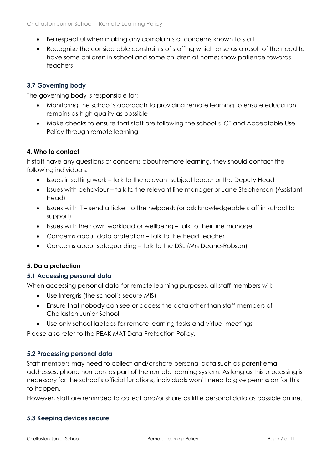- Be respectful when making any complaints or concerns known to staff
- Recognise the considerable constraints of staffing which arise as a result of the need to have some children in school and some children at home; show patience towards teachers

# **3.7 Governing body**

The governing body is responsible for:

- Monitoring the school's approach to providing remote learning to ensure education remains as high quality as possible
- Make checks to ensure that staff are following the school's ICT and Acceptable Use Policy through remote learning

# **4. Who to contact**

If staff have any questions or concerns about remote learning, they should contact the following individuals:

- Issues in setting work talk to the relevant subject leader or the Deputy Head
- Issues with behaviour talk to the relevant line manager or Jane Stephenson (Assistant Head)
- Issues with IT send a ticket to the helpdesk (or ask knowledgeable staff in school to support)
- Issues with their own workload or wellbeing talk to their line manager
- Concerns about data protection talk to the Head teacher
- Concerns about safeguarding talk to the DSL (Mrs Deane-Robson)

#### **5. Data protection**

#### **5.1 Accessing personal data**

When accessing personal data for remote learning purposes, all staff members will:

- Use Intergris (the school's secure MIS)
- Ensure that nobody can see or access the data other than staff members of Chellaston Junior School
- Use only school laptops for remote learning tasks and virtual meetings

Please also refer to the PEAK MAT Data Protection Policy.

# **5.2 Processing personal data**

Staff members may need to collect and/or share personal data such as parent email addresses, phone numbers as part of the remote learning system. As long as this processing is necessary for the school's official functions, individuals won't need to give permission for this to happen.

However, staff are reminded to collect and/or share as little personal data as possible online.

#### **5.3 Keeping devices secure**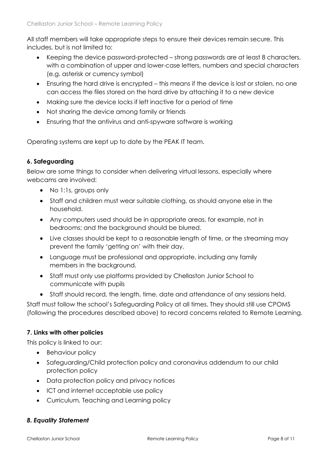All staff members will take appropriate steps to ensure their devices remain secure. This includes, but is not limited to:

- Keeping the device password-protected strong passwords are at least 8 characters, with a combination of upper and lower-case letters, numbers and special characters (e.g. asterisk or currency symbol)
- Ensuring the hard drive is encrypted this means if the device is lost or stolen, no one can access the files stored on the hard drive by attaching it to a new device
- Making sure the device locks if left inactive for a period of time
- Not sharing the device among family or friends
- Ensuring that the antivirus and anti-spyware software is working

Operating systems are kept up to date by the PEAK IT team.

#### **6. Safeguarding**

Below are some things to consider when delivering virtual lessons, especially where webcams are involved:

- No 1:1s, groups only
- Staff and children must wear suitable clothing, as should anyone else in the household.
- Any computers used should be in appropriate areas, for example, not in bedrooms; and the background should be blurred.
- Live classes should be kept to a reasonable length of time, or the streaming may prevent the family 'getting on' with their day.
- Language must be professional and appropriate, including any family members in the background.
- Staff must only use platforms provided by Chellaston Junior School to communicate with pupils
- Staff should record, the length, time, date and attendance of any sessions held.

Staff must follow the school's Safeguarding Policy at all times. They should still use CPOMS (following the procedures described above) to record concerns related to Remote Learning.

#### **7. Links with other policies**

This policy is linked to our:

- Behaviour policy
- Safeguarding/Child protection policy and coronavirus addendum to our child protection policy
- Data protection policy and privacy notices
- ICT and internet acceptable use policy
- Curriculum, Teaching and Learning policy

#### *8. Equality Statement*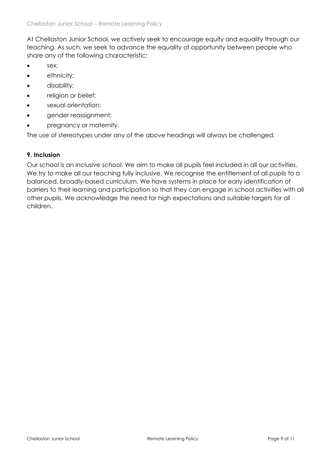At Chellaston Junior School, we actively seek to encourage equity and equality through our teaching. As such, we seek to advance the equality of opportunity between people who share any of the following characteristic:

- sex:
- ethnicity;
- disability;
- religion or belief;
- sexual orientation:
- gender reassignment;
- pregnancy or maternity.

The use of stereotypes under any of the above headings will always be challenged.

#### **9. Inclusion**

Our school is an inclusive school. We aim to make all pupils feel included in all our activities. We try to make all our teaching fully inclusive. We recognise the entitlement of all pupils to a balanced, broadly-based curriculum. We have systems in place for early identification of barriers to their learning and participation so that they can engage in school activities with all other pupils. We acknowledge the need for high expectations and suitable targets for all children.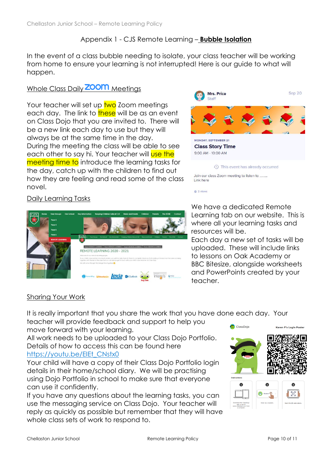# Appendix 1 - CJS Remote Learning – **Bubble Isolation**

In the event of a class bubble needing to isolate, your class teacher will be working from home to ensure your learning is not interrupted! Here is our guide to what will happen.

# Whole Class Daily **ZOOM** Meetings

Your teacher will set up two Zoom meetings each day. The link to these will be as an event on Class Dojo that you are invited to. There will be a new link each day to use but they will always be at the same time in the day. During the meeting the class will be able to see each other to say hi. Your teacher will use the meeting time to introduce the learning tasks for the day, catch up with the children to find out how they are feeling and read some of the class novel.



# Daily Learning Tasks



We have a dedicated Remote Learning tab on our website. This is where all your learning tasks and resources will be.

2 views

Each day a new set of tasks will be uploaded. These will include links to lessons on Oak Academy or BBC Bitesize, alongside worksheets and PowerPoints created by your teacher.

# Sharing Your Work

It is really important that you share the work that you have done each day. Your

teacher will provide feedback and support to help you move forward with your learning.

All work needs to be uploaded to your Class Dojo Portfolio. Details of how to access this can be found here [https://youtu.be/EIEt\\_CNstx0](https://youtu.be/EIEt_CNstx0)

Your child will have a copy of their Class Dojo Portfolio login details in their home/school diary. We will be practising using Dojo Portfolio in school to make sure that everyone can use it confidently.

If you have any questions about the learning tasks, you can use the messaging service on Class Dojo. Your teacher will reply as quickly as possible but remember that they will have whole class sets of work to respond to.